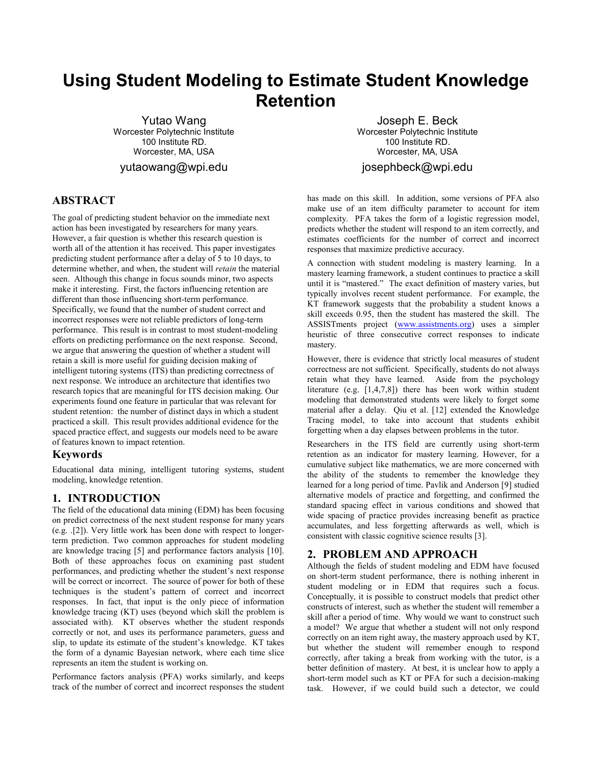# **Using Student Modeling to Estimate Student Knowledge Retention**

Yutao Wang Worcester Polytechnic Institute 100 Institute RD. Worcester, MA, USA yutaowang@wpi.edu

# **ABSTRACT**

The goal of predicting student behavior on the immediate next action has been investigated by researchers for many years. However, a fair question is whether this research question is worth all of the attention it has received. This paper investigates predicting student performance after a delay of 5 to 10 days, to determine whether, and when, the student will *retain* the material seen. Although this change in focus sounds minor, two aspects make it interesting. First, the factors influencing retention are different than those influencing short-term performance. Specifically, we found that the number of student correct and incorrect responses were not reliable predictors of long-term performance. This result is in contrast to most student-modeling efforts on predicting performance on the next response. Second, we argue that answering the question of whether a student will retain a skill is more useful for guiding decision making of intelligent tutoring systems (ITS) than predicting correctness of next response. We introduce an architecture that identifies two research topics that are meaningful for ITS decision making. Our experiments found one feature in particular that was relevant for student retention: the number of distinct days in which a student practiced a skill. This result provides additional evidence for the spaced practice effect, and suggests our models need to be aware of features known to impact retention.

### **Keywords**

Educational data mining, intelligent tutoring systems, student modeling, knowledge retention.

## **1. INTRODUCTION**

The field of the educational data mining (EDM) has been focusing on predict correctness of the next student response for many years (e.g. .[2]). Very little work has been done with respect to longerterm prediction. Two common approaches for student modeling are knowledge tracing [5] and performance factors analysis [10]. Both of these approaches focus on examining past student performances, and predicting whether the student's next response will be correct or incorrect. The source of power for both of these techniques is the student's pattern of correct and incorrect responses. In fact, that input is the only piece of information knowledge tracing (KT) uses (beyond which skill the problem is associated with). KT observes whether the student responds correctly or not, and uses its performance parameters, guess and slip, to update its estimate of the student's knowledge. KT takes the form of a dynamic Bayesian network, where each time slice represents an item the student is working on.

Performance factors analysis (PFA) works similarly, and keeps track of the number of correct and incorrect responses the student

Joseph E. Beck Worcester Polytechnic Institute 100 Institute RD. Worcester, MA, USA josephbeck@wpi.edu

has made on this skill. In addition, some versions of PFA also make use of an item difficulty parameter to account for item complexity. PFA takes the form of a logistic regression model, predicts whether the student will respond to an item correctly, and estimates coefficients for the number of correct and incorrect responses that maximize predictive accuracy.

A connection with student modeling is mastery learning. In a mastery learning framework, a student continues to practice a skill until it is "mastered." The exact definition of mastery varies, but typically involves recent student performance. For example, the KT framework suggests that the probability a student knows a skill exceeds 0.95, then the student has mastered the skill. The ASSISTments project (www.assistments.org) uses a simpler heuristic of three consecutive correct responses to indicate mastery.

However, there is evidence that strictly local measures of student correctness are not sufficient. Specifically, students do not always retain what they have learned. Aside from the psychology literature (e.g. [1,4,7,8]) there has been work within student modeling that demonstrated students were likely to forget some material after a delay. Qiu et al. [12] extended the Knowledge Tracing model, to take into account that students exhibit forgetting when a day elapses between problems in the tutor.

Researchers in the ITS field are currently using short-term retention as an indicator for mastery learning. However, for a cumulative subject like mathematics, we are more concerned with the ability of the students to remember the knowledge they learned for a long period of time. Pavlik and Anderson [9] studied alternative models of practice and forgetting, and confirmed the standard spacing effect in various conditions and showed that wide spacing of practice provides increasing benefit as practice accumulates, and less forgetting afterwards as well, which is consistent with classic cognitive science results [3].

# **2. PROBLEM AND APPROACH**

Although the fields of student modeling and EDM have focused on short-term student performance, there is nothing inherent in student modeling or in EDM that requires such a focus. Conceptually, it is possible to construct models that predict other constructs of interest, such as whether the student will remember a skill after a period of time. Why would we want to construct such a model? We argue that whether a student will not only respond correctly on an item right away, the mastery approach used by KT, but whether the student will remember enough to respond correctly, after taking a break from working with the tutor, is a better definition of mastery. At best, it is unclear how to apply a short-term model such as KT or PFA for such a decision-making task. However, if we could build such a detector, we could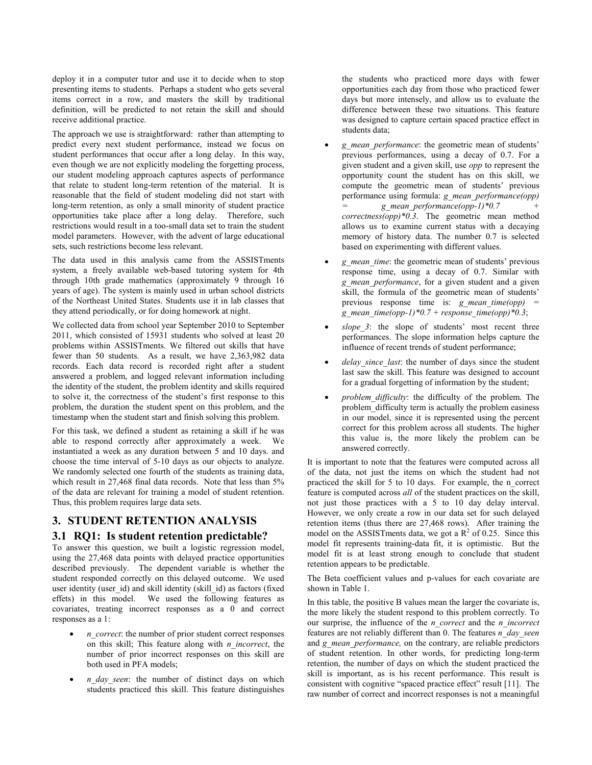deploy it in a computer tutor and use it to decide when to stop presenting items to students. Perhaps a student who gets several items correct in a row, and masters the skill by traditional definition, will be predicted to not retain the skill and should receive additional practice.

The approach we use is straightforward: rather than attempting to predict every next student performance, instead we focus on student performances that occur after a long delay. In this way, even though we are not explicitly modeling the forgetting process, our student modeling approach captures aspects of performance that relate to student long-term retention of the material. It is reasonable that the field of student modeling did not start with long-term retention, as only a small minority of student practice opportunities take place after a long delay. Therefore, such restrictions would result in a too-small data set to train the student model parameters. However, with the advent of large educational sets, such restrictions become less relevant.

The data used in this analysis came from the ASSISTments system, a freely available web-based tutoring system for 4th through 10th grade mathematics (approximately 9 through 16 years of age). The system is mainly used in urban school districts of the Northeast United States. Students use it in lab classes that they attend periodically, or for doing homework at night.

We collected data from school year September 2010 to September 2011, which consisted of 15931 students who solved at least 20 problems within ASSISTments. We filtered out skills that have fewer than 50 students. As a result, we have 2,363,982 data records. Each data record is recorded right after a student answered a problem, and logged relevant information including the identity of the student, the problem identity and skills required to solve it, the correctness of the student's first response to this problem, the duration the student spent on this problem, and the timestamp when the student start and finish solving this problem.

For this task, we defined a student as retaining a skill if he was able to respond correctly after approximately a week. We instantiated a week as any duration between 5 and 10 days. and choose the time interval of 5-10 days as our objects to analyze. We randomly selected one fourth of the students as training data, which result in 27,468 final data records. Note that less than 5% of the data are relevant for training a model of student retention. Thus, this problem requires large data sets.

# **3. STUDENT RETENTION ANALYSIS**

# **3.1 RQ1: Is student retention predictable?**

To answer this question, we built a logistic regression model, using the 27,468 data points with delayed practice opportunities described previously. The dependent variable is whether the student responded correctly on this delayed outcome. We used user identity (user id) and skill identity (skill id) as factors (fixed effets) in this model. We used the following features as covariates, treating incorrect responses as a 0 and correct responses as a 1:

- *n correct*: the number of prior student correct responses on this skill; This feature along with *n\_incorrect*, the number of prior incorrect responses on this skill are both used in PFA models;
- *n* day seen: the number of distinct days on which students practiced this skill. This feature distinguishes

the students who practiced more days with fewer opportunities each day from those who practiced fewer days but more intensely, and allow us to evaluate the difference between these two situations. This feature was designed to capture certain spaced practice effect in students data;

- *g\_mean\_performance*: the geometric mean of students' previous performances, using a decay of 0.7. For a given student and a given skill, use *opp* to represent the opportunity count the student has on this skill, we compute the geometric mean of students' previous performance using formula: *g\_mean\_performance(opp) = g\_mean\_performance(opp-1)\*0.7 + correctness(opp)\*0.3*. The geometric mean method allows us to examine current status with a decaying memory of history data. The number 0.7 is selected based on experimenting with different values.
- *g\_mean\_time*: the geometric mean of students' previous response time, using a decay of 0.7. Similar with *g\_mean\_performance*, for a given student and a given skill, the formula of the geometric mean of students' previous response time is: *g* mean time(opp) *g\_mean\_time(opp-1)\*0.7 + response\_time(opp)\*0.3*;
- slope 3: the slope of students' most recent three performances. The slope information helps capture the influence of recent trends of student performance;
- delay since last: the number of days since the student last saw the skill. This feature was designed to account for a gradual forgetting of information by the student;
- *problem difficulty*: the difficulty of the problem. The problem\_difficulty term is actually the problem easiness in our model, since it is represented using the percent correct for this problem across all students. The higher this value is, the more likely the problem can be answered correctly.

It is important to note that the features were computed across all of the data, not just the items on which the student had not practiced the skill for 5 to 10 days. For example, the n\_correct feature is computed across *all* of the student practices on the skill, not just those practices with a 5 to 10 day delay interval. However, we only create a row in our data set for such delayed retention items (thus there are 27,468 rows). After training the model on the ASSISTments data, we got a  $R^2$  of 0.25. Since this model fit represents training-data fit, it is optimistic. But the model fit is at least strong enough to conclude that student retention appears to be predictable.

The Beta coefficient values and p-values for each covariate are shown in Table 1.

In this table, the positive B values mean the larger the covariate is, the more likely the student respond to this problem correctly. To our surprise, the influence of the *n\_correct* and the *n\_incorrect* features are not reliably different than 0. The features *n\_day\_seen*  and *g\_mean\_performance*, on the contrary, are reliable predictors of student retention. In other words, for predicting long-term retention, the number of days on which the student practiced the skill is important, as is his recent performance. This result is consistent with cognitive "spaced practice effect" result [11]. The raw number of correct and incorrect responses is not a meaningful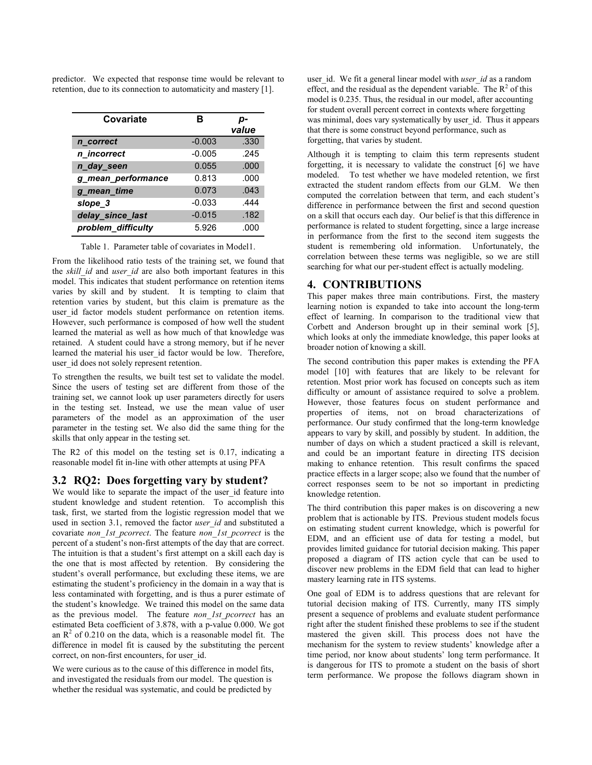predictor. We expected that response time would be relevant to retention, due to its connection to automaticity and mastery [1].

| Covariate          | в        | p-<br>value |
|--------------------|----------|-------------|
| n_correct          | $-0.003$ | .330        |
| n incorrect        | $-0.005$ | .245        |
| n_day_seen         | 0.055    | .000        |
| g mean performance | 0.813    | .000        |
| g mean time        | 0.073    | .043        |
| slope 3            | $-0.033$ | .444        |
| delay_since_last   | $-0.015$ | .182        |
| problem_difficulty | 5.926    | .000        |

Table 1.Parameter table of covariates in Model1.

From the likelihood ratio tests of the training set, we found that the *skill id* and *user id* are also both important features in this model. This indicates that student performance on retention items varies by skill and by student. It is tempting to claim that retention varies by student, but this claim is premature as the user\_id factor models student performance on retention items. However, such performance is composed of how well the student learned the material as well as how much of that knowledge was retained. A student could have a strong memory, but if he never learned the material his user id factor would be low. Therefore, user id does not solely represent retention.

To strengthen the results, we built test set to validate the model. Since the users of testing set are different from those of the training set, we cannot look up user parameters directly for users in the testing set. Instead, we use the mean value of user parameters of the model as an approximation of the user parameter in the testing set. We also did the same thing for the skills that only appear in the testing set.

The R2 of this model on the testing set is 0.17, indicating a reasonable model fit in-line with other attempts at using PFA

## **3.2 RQ2: Does forgetting vary by student?**

We would like to separate the impact of the user id feature into student knowledge and student retention. To accomplish this task, first, we started from the logistic regression model that we used in section 3.1, removed the factor *user id* and substituted a covariate *non\_1st\_pcorrect*. The feature *non\_1st\_pcorrect* is the percent of a student's non-first attempts of the day that are correct. The intuition is that a student's first attempt on a skill each day is the one that is most affected by retention. By considering the student's overall performance, but excluding these items, we are estimating the student's proficiency in the domain in a way that is less contaminated with forgetting, and is thus a purer estimate of the student's knowledge. We trained this model on the same data as the previous model. The feature *non\_1st\_pcorrect* has an estimated Beta coefficient of 3.878, with a p-value 0.000. We got an  $R<sup>2</sup>$  of 0.210 on the data, which is a reasonable model fit. The difference in model fit is caused by the substituting the percent correct, on non-first encounters, for user\_id.

We were curious as to the cause of this difference in model fits, and investigated the residuals from our model. The question is whether the residual was systematic, and could be predicted by

user id. We fit a general linear model with *user id* as a random effect, and the residual as the dependent variable. The  $R^2$  of this model is 0.235. Thus, the residual in our model, after accounting for student overall percent correct in contexts where forgetting was minimal, does vary systematically by user id. Thus it appears that there is some construct beyond performance, such as forgetting, that varies by student.

Although it is tempting to claim this term represents student forgetting, it is necessary to validate the construct [6] we have modeled. To test whether we have modeled retention, we first extracted the student random effects from our GLM. We then computed the correlation between that term, and each student's difference in performance between the first and second question on a skill that occurs each day. Our belief is that this difference in performance is related to student forgetting, since a large increase in performance from the first to the second item suggests the student is remembering old information. Unfortunately, the correlation between these terms was negligible, so we are still searching for what our per-student effect is actually modeling.

## **4. CONTRIBUTIONS**

This paper makes three main contributions. First, the mastery learning notion is expanded to take into account the long-term effect of learning. In comparison to the traditional view that Corbett and Anderson brought up in their seminal work [5], which looks at only the immediate knowledge, this paper looks at broader notion of knowing a skill.

The second contribution this paper makes is extending the PFA model [10] with features that are likely to be relevant for retention. Most prior work has focused on concepts such as item difficulty or amount of assistance required to solve a problem. However, those features focus on student performance and properties of items, not on broad characterizations of performance. Our study confirmed that the long-term knowledge appears to vary by skill, and possibly by student. In addition, the number of days on which a student practiced a skill is relevant, and could be an important feature in directing ITS decision making to enhance retention. This result confirms the spaced practice effects in a larger scope; also we found that the number of correct responses seem to be not so important in predicting knowledge retention.

The third contribution this paper makes is on discovering a new problem that is actionable by ITS. Previous student models focus on estimating student current knowledge, which is powerful for EDM, and an efficient use of data for testing a model, but provides limited guidance for tutorial decision making. This paper proposed a diagram of ITS action cycle that can be used to discover new problems in the EDM field that can lead to higher mastery learning rate in ITS systems.

One goal of EDM is to address questions that are relevant for tutorial decision making of ITS. Currently, many ITS simply present a sequence of problems and evaluate student performance right after the student finished these problems to see if the student mastered the given skill. This process does not have the mechanism for the system to review students' knowledge after a time period, nor know about students' long term performance. It is dangerous for ITS to promote a student on the basis of short term performance. We propose the follows diagram shown in